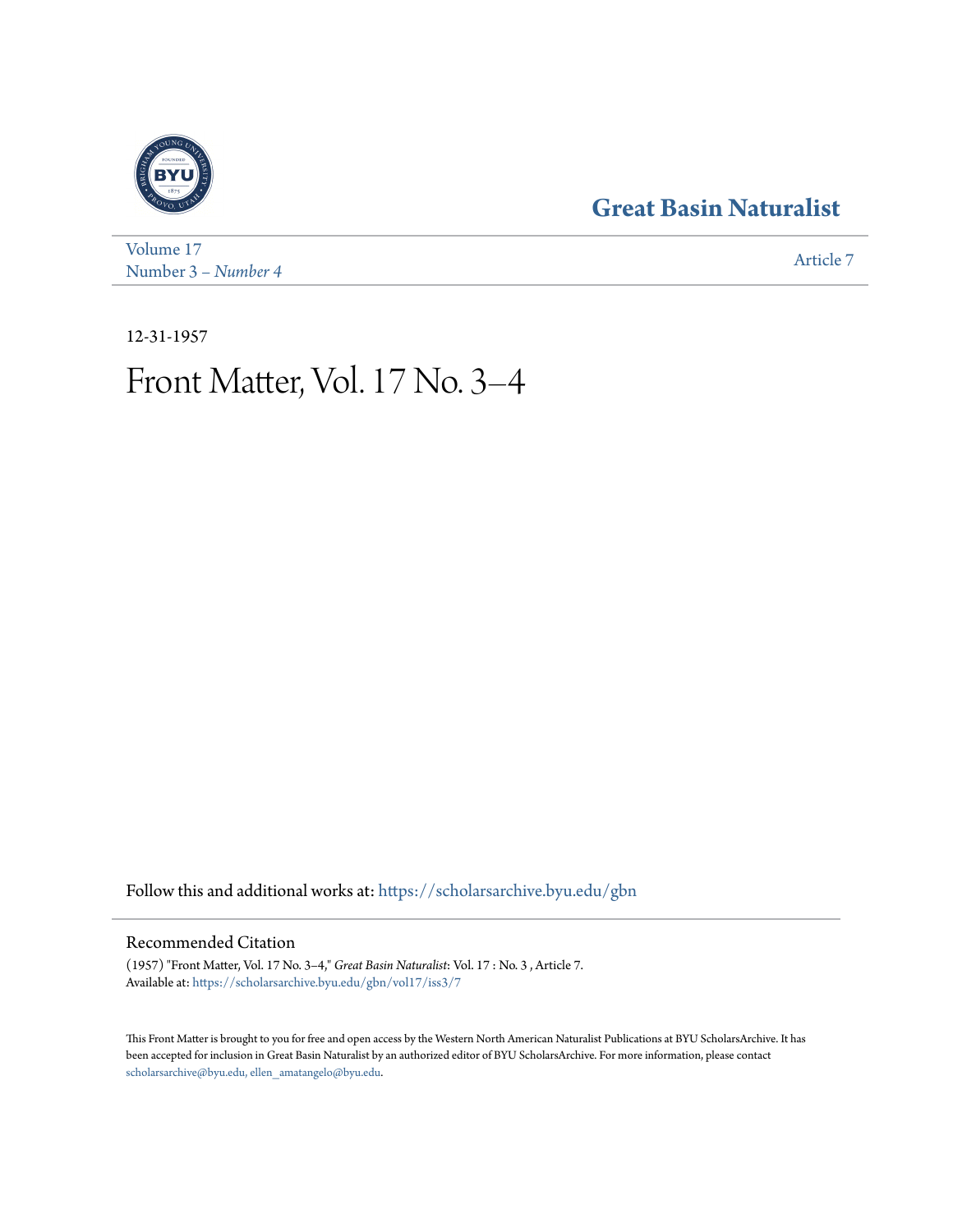# **[Great Basin Naturalist](https://scholarsarchive.byu.edu/gbn?utm_source=scholarsarchive.byu.edu%2Fgbn%2Fvol17%2Fiss3%2F7&utm_medium=PDF&utm_campaign=PDFCoverPages)**



[Volume 17](https://scholarsarchive.byu.edu/gbn/vol17?utm_source=scholarsarchive.byu.edu%2Fgbn%2Fvol17%2Fiss3%2F7&utm_medium=PDF&utm_campaign=PDFCoverPages) Number 3 [– Number 4](https://scholarsarchive.byu.edu/gbn/vol17/iss3?utm_source=scholarsarchive.byu.edu%2Fgbn%2Fvol17%2Fiss3%2F7&utm_medium=PDF&utm_campaign=PDFCoverPages) and 1980 and 1980 and 1980 and 1980 and 1980 and 1980 and 1980 and 1980 and 1980 and 1980 and 1980 and 1980 and 1980 and 1980 and 1980 and 1980 and 1980 and 1980 and 1980 and 1980 and 1980 and 1980 and

12-31-1957

# Front Matter, Vol. 17 No. 3–4

Follow this and additional works at: [https://scholarsarchive.byu.edu/gbn](https://scholarsarchive.byu.edu/gbn?utm_source=scholarsarchive.byu.edu%2Fgbn%2Fvol17%2Fiss3%2F7&utm_medium=PDF&utm_campaign=PDFCoverPages)

## Recommended Citation

(1957) "Front Matter, Vol. 17 No. 3–4," *Great Basin Naturalist*: Vol. 17 : No. 3 , Article 7. Available at: [https://scholarsarchive.byu.edu/gbn/vol17/iss3/7](https://scholarsarchive.byu.edu/gbn/vol17/iss3/7?utm_source=scholarsarchive.byu.edu%2Fgbn%2Fvol17%2Fiss3%2F7&utm_medium=PDF&utm_campaign=PDFCoverPages)

This Front Matter is brought to you for free and open access by the Western North American Naturalist Publications at BYU ScholarsArchive. It has been accepted for inclusion in Great Basin Naturalist by an authorized editor of BYU ScholarsArchive. For more information, please contact [scholarsarchive@byu.edu, ellen\\_amatangelo@byu.edu.](mailto:scholarsarchive@byu.edu,%20ellen_amatangelo@byu.edu)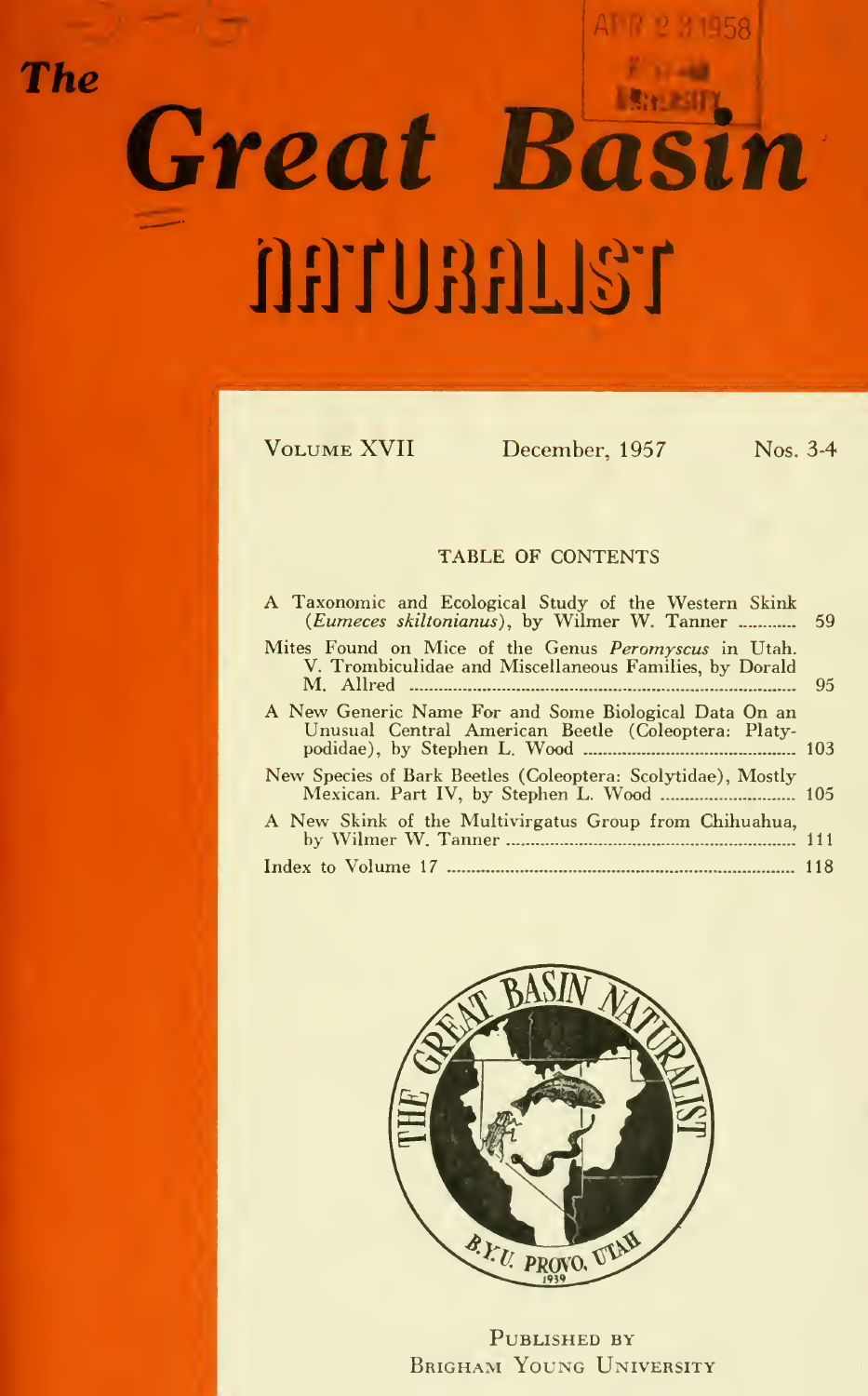# Great Basin naunang

**The** 

Volume XVII December, 1957 Nos. 3-4

#### TABLE OF CONTENTS

| A Taxonomic and Ecological Study of the Western Skink<br>(Eumeces skiltonianus), by Wilmer W. Tanner  59              |  |
|-----------------------------------------------------------------------------------------------------------------------|--|
| Mites Found on Mice of the Genus <i>Peromyscus</i> in Utah.<br>V. Trombiculidae and Miscellaneous Families, by Dorald |  |
| A New Generic Name For and Some Biological Data On an<br>Unusual Central American Beetle (Coleoptera: Platy-          |  |
| New Species of Bark Beetles (Coleoptera: Scolytidae), Mostly                                                          |  |
| A New Skink of the Multivirgatus Group from Chihuahua,                                                                |  |
|                                                                                                                       |  |



PUBLISHED BY Brigham Young University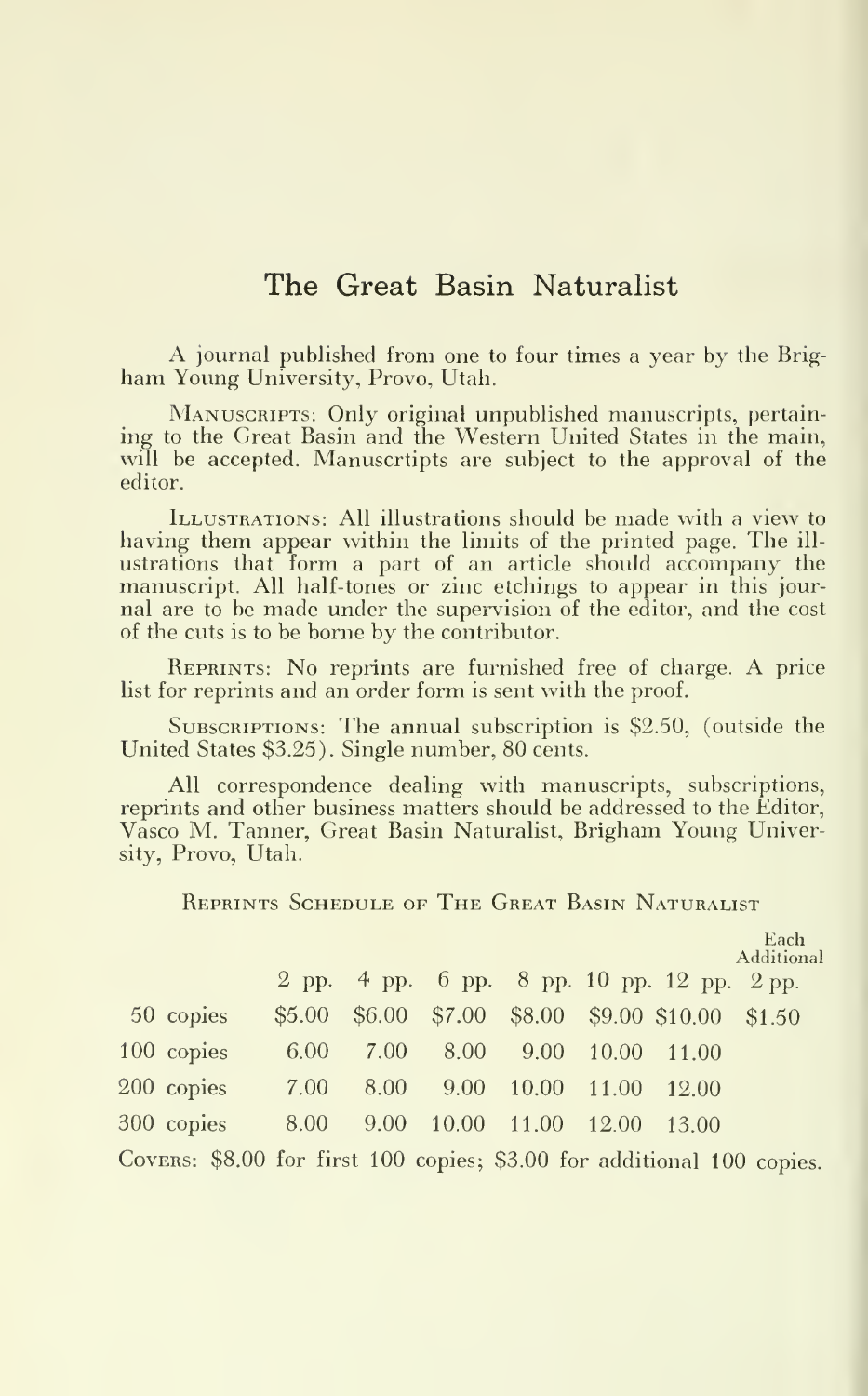# The Great Basin Naturalist

A journal published from one to four times <sup>a</sup> year by the Brigham Young University, Provo, Utah.

Manuscripts: Only original unpublished manuscripts, pertaining to the Great Basin and the Western United States in the main, will be accepted. Manuscrtipts are subject to the approval of the editor.

Illustrations: All illustrations should be made with a view to having them appear within the limits of the printed page. The ill ustrations that form a part of an article should accompany the manuscript. All half-tones or zinc etchings to appear in this journal are to be made under the supervision of the editor, and the cost of the cuts is to be borne by the contributor.

Reprints: No reprints are furnished free of charge. A price list for reprints and an order form is sent with the proof.

SUBSCRIPTIONS: The annual subscription is \$2.50, (outside the United States \$3.25). Single number, 80 cents.

All correspondence dealing with manuscripts, subscriptions, reprints and other business matters should be addressed to the Editor, Vasco M. Tanner, Great Basin Naturalist, Brigham Young University, Provo, Utah.

Reprints Schedule of The Great Basin Naturalist

Each

|                                                                        |      |                 |                             |       |                                                   | Additional |  |
|------------------------------------------------------------------------|------|-----------------|-----------------------------|-------|---------------------------------------------------|------------|--|
|                                                                        |      |                 |                             |       | 2 pp. 4 pp. 6 pp. 8 pp. 10 pp. 12 pp. 2 pp.       |            |  |
| 50 copies                                                              |      |                 |                             |       | \$5.00 \$6.00 \$7.00 \$8.00 \$9.00 \$10.00 \$1.50 |            |  |
| 100 copies                                                             | 6.00 |                 | 7.00 8.00 9.00 10.00 11.00  |       |                                                   |            |  |
| 200 copies                                                             | 7.00 | 8.00 9.00 10.00 |                             | 11.00 | - 12.00                                           |            |  |
| 300 copies                                                             |      |                 | 8.00 9.00 10.00 11.00 12.00 |       | - 13.00                                           |            |  |
| COVERS: \$8.00 for first 100 copies; \$3.00 for additional 100 copies. |      |                 |                             |       |                                                   |            |  |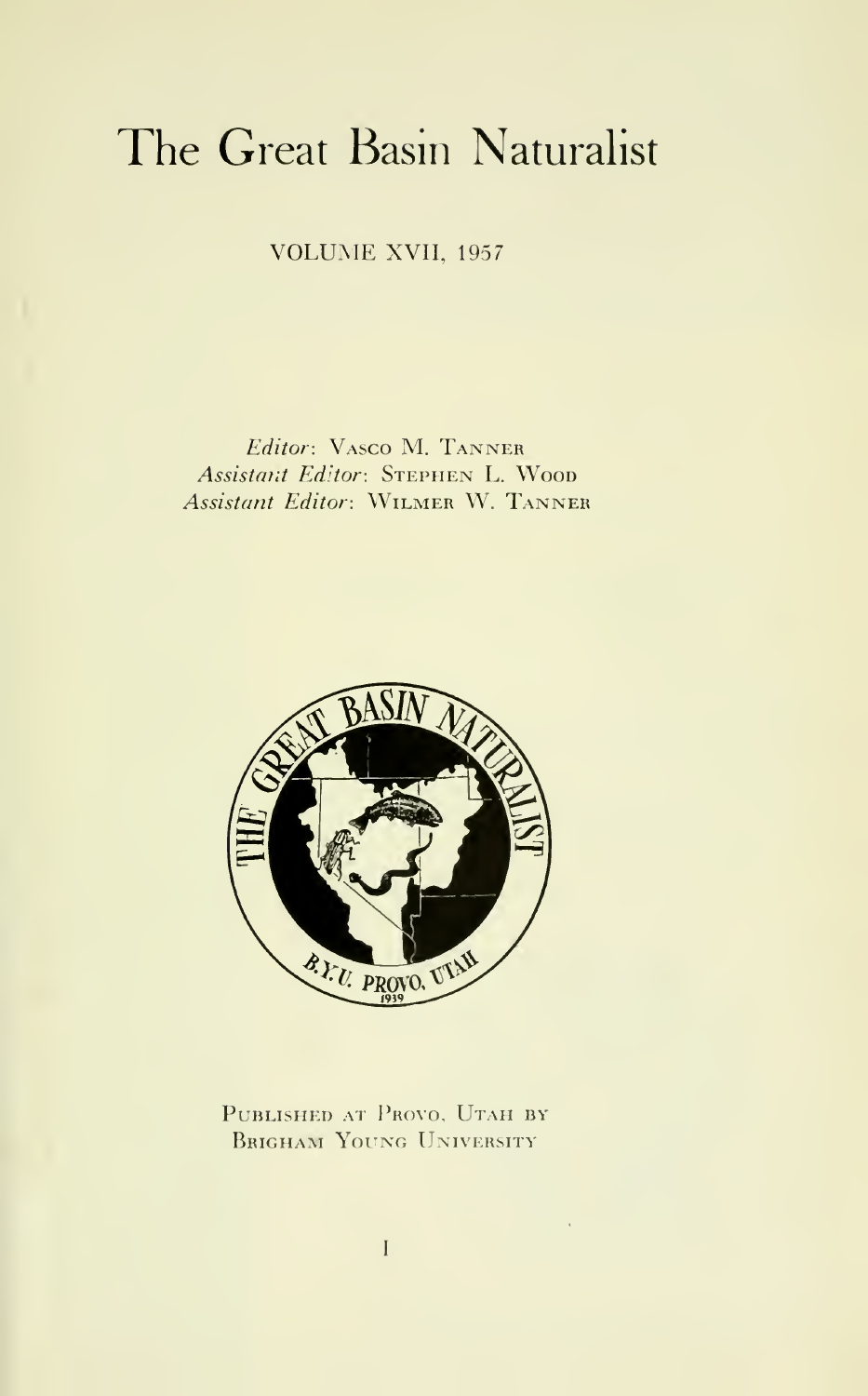# The Great Basin Naturalist

VOLUME XVII, <sup>1957</sup>

Editor: Vasco M. Tanner Assistant Editor: STEPHEN L. WOOD Assistant Editor: Wilmer W. Tanner



PUBLISHED AT PROVO, UTAH BY BRIGHAM YOUNG UNIVERSITY